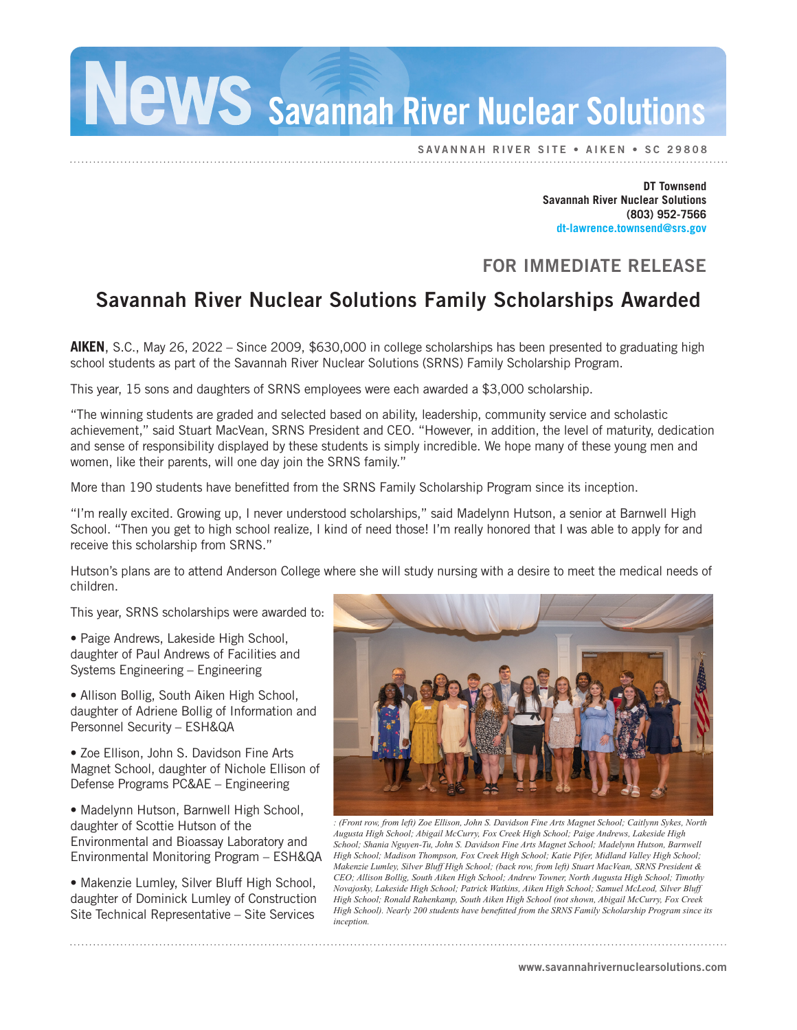Savannah River Nuclear Solutions

SAVANNAH RIVER SITE • AIKEN • SC 29808

**DT Townsend Savannah River Nuclear Solutions (803) 952-7566 dt-lawrence.townsend@srs.gov**

## FOR IMMEDIATE RELEASE

## Savannah River Nuclear Solutions Family Scholarships Awarded

**AIKEN**, S.C., May 26, 2022 – Since 2009, \$630,000 in college scholarships has been presented to graduating high school students as part of the Savannah River Nuclear Solutions (SRNS) Family Scholarship Program.

This year, 15 sons and daughters of SRNS employees were each awarded a \$3,000 scholarship.

"The winning students are graded and selected based on ability, leadership, community service and scholastic achievement," said Stuart MacVean, SRNS President and CEO. "However, in addition, the level of maturity, dedication and sense of responsibility displayed by these students is simply incredible. We hope many of these young men and women, like their parents, will one day join the SRNS family."

More than 190 students have benefitted from the SRNS Family Scholarship Program since its inception.

"I'm really excited. Growing up, I never understood scholarships," said Madelynn Hutson, a senior at Barnwell High School. "Then you get to high school realize, I kind of need those! I'm really honored that I was able to apply for and receive this scholarship from SRNS."

Hutson's plans are to attend Anderson College where she will study nursing with a desire to meet the medical needs of children.

This year, SRNS scholarships were awarded to:

• Paige Andrews, Lakeside High School, daughter of Paul Andrews of Facilities and Systems Engineering – Engineering

• Allison Bollig, South Aiken High School, daughter of Adriene Bollig of Information and Personnel Security – ESH&QA

• Zoe Ellison, John S. Davidson Fine Arts Magnet School, daughter of Nichole Ellison of Defense Programs PC&AE – Engineering

• Madelynn Hutson, Barnwell High School, daughter of Scottie Hutson of the Environmental and Bioassay Laboratory and Environmental Monitoring Program – ESH&QA

• Makenzie Lumley, Silver Bluff High School, daughter of Dominick Lumley of Construction Site Technical Representative – Site Services



*: (Front row, from left) Zoe Ellison, John S. Davidson Fine Arts Magnet School; Caitlynn Sykes, North Augusta High School; Abigail McCurry, Fox Creek High School; Paige Andrews, Lakeside High School; Shania Nguyen-Tu, John S. Davidson Fine Arts Magnet School; Madelynn Hutson, Barnwell High School; Madison Thompson, Fox Creek High School; Katie Pifer, Midland Valley High School; Makenzie Lumley, Silver Bluff High School; (back row, from left) Stuart MacVean, SRNS President & CEO; Allison Bollig, South Aiken High School; Andrew Towner, North Augusta High School; Timothy Novajosky, Lakeside High School; Patrick Watkins, Aiken High School; Samuel McLeod, Silver Bluff High School; Ronald Rahenkamp, South Aiken High School (not shown, Abigail McCurry, Fox Creek High School). Nearly 200 students have benefitted from the SRNS Family Scholarship Program since its inception.*